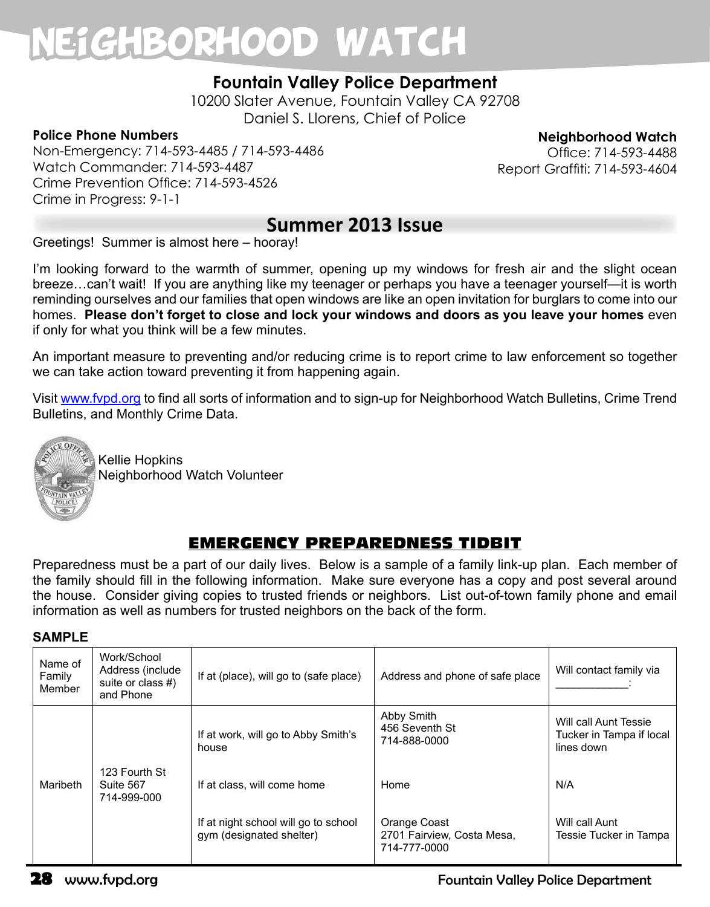## Neighborhood Watch

## **Fountain Valley Police Department**

10200 Slater Avenue, Fountain Valley CA 92708 Daniel S. Llorens, Chief of Police

#### **Police Phone Numbers**

Non-Emergency: 714-593-4485 / 714-593-4486 Watch Commander: 714-593-4487 Crime Prevention Office: 714-593-4526 Crime in Progress: 9-1-1

**Neighborhood Watch**

Office: 714-593-4488 Report Graffiti: 714-593-4604

## **Summer 2013 Issue**

Greetings! Summer is almost here – hooray!

I'm looking forward to the warmth of summer, opening up my windows for fresh air and the slight ocean breeze…can't wait! If you are anything like my teenager or perhaps you have a teenager yourself—it is worth reminding ourselves and our families that open windows are like an open invitation for burglars to come into our homes. **Please don't forget to close and lock your windows and doors as you leave your homes** even if only for what you think will be a few minutes.

An important measure to preventing and/or reducing crime is to report crime to law enforcement so together we can take action toward preventing it from happening again.

Visit www.fvpd.org to find all sorts of information and to sign-up for Neighborhood Watch Bulletins, Crime Trend Bulletins, and Monthly Crime Data.



Kellie Hopkins Neighborhood Watch Volunteer

## EMERGENCY PREPAREDNESS TIDBIT

Preparedness must be a part of our daily lives. Below is a sample of a family link-up plan. Each member of the family should fill in the following information. Make sure everyone has a copy and post several around the house. Consider giving copies to trusted friends or neighbors. List out-of-town family phone and email information as well as numbers for trusted neighbors on the back of the form.

#### **SAMPLE**

| Name of<br>Family<br>Member | Work/School<br>Address (include<br>suite or class #)<br>and Phone | If at (place), will go to (safe place)                           | Address and phone of safe place                            | Will contact family via                                         |
|-----------------------------|-------------------------------------------------------------------|------------------------------------------------------------------|------------------------------------------------------------|-----------------------------------------------------------------|
|                             |                                                                   | If at work, will go to Abby Smith's<br>house                     | Abby Smith<br>456 Seventh St<br>714-888-0000               | Will call Aunt Tessie<br>Tucker in Tampa if local<br>lines down |
| Maribeth                    | 123 Fourth St<br>Suite 567<br>714-999-000                         | If at class, will come home                                      | Home                                                       | N/A                                                             |
|                             |                                                                   | If at night school will go to school<br>gym (designated shelter) | Orange Coast<br>2701 Fairview, Costa Mesa,<br>714-777-0000 | Will call Aunt<br>Tessie Tucker in Tampa                        |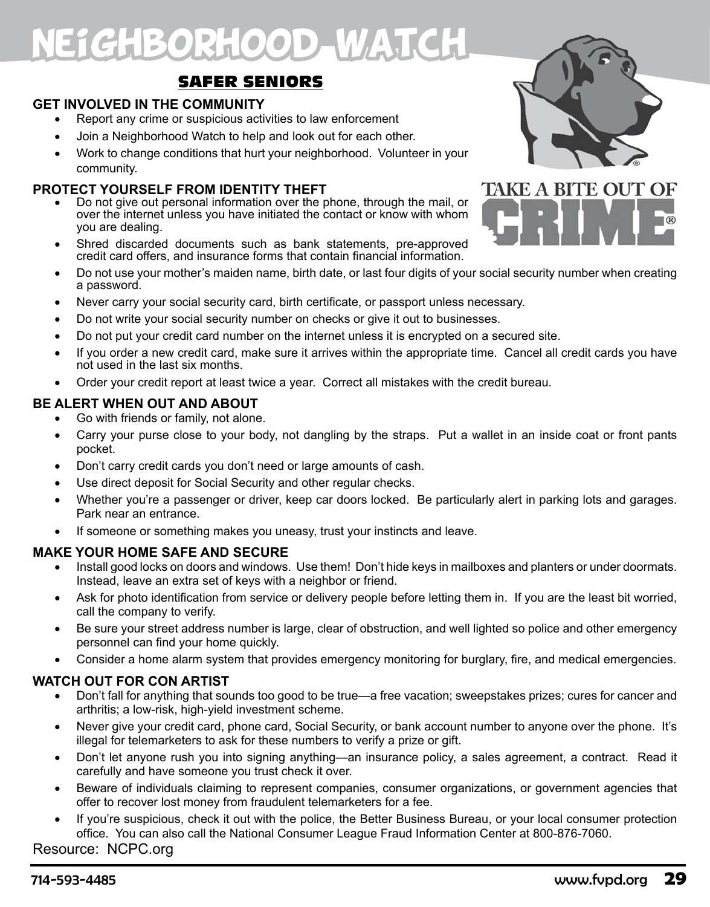# E1GHBORHOOD WATCH

### SAFER SENIORS

#### **GET INVOLVED IN THE COMMUNITY**

- Report any crime or suspicious activities to law enforcement
- Join a Neighborhood Watch to help and look out for each other.
- Work to change conditions that hurt your neighborhood. Volunteer in your community.

#### **PROTECT YOURSELF FROM IDENTITY THEFT**

- Do not give out personal information over the phone, through the mail, or over the internet unless you have initiated the contact or know with whom you are dealing.
- Shred discarded documents such as bank statements, pre-approved credit card offers, and insurance forms that contain financial information.
- • Do not use your mother's maiden name, birth date, or last four digits of your social security number when creating a password.
- Never carry your social security card, birth certificate, or passport unless necessary.
- Do not write your social security number on checks or give it out to businesses.
- Do not put your credit card number on the internet unless it is encrypted on a secured site.
- If you order a new credit card, make sure it arrives within the appropriate time. Cancel all credit cards you have not used in the last six months.
- Order your credit report at least twice a year. Correct all mistakes with the credit bureau.

#### **BE ALERT WHEN OUT AND ABOUT**

- Go with friends or family, not alone.
- Carry your purse close to your body, not dangling by the straps. Put a wallet in an inside coat or front pants pocket.
- Don't carry credit cards you don't need or large amounts of cash.
- Use direct deposit for Social Security and other regular checks.
- Whether you're a passenger or driver, keep car doors locked. Be particularly alert in parking lots and garages. Park near an entrance.
- If someone or something makes you uneasy, trust your instincts and leave.

#### **MAKE YOUR HOME SAFE AND SECURE**

- Install good locks on doors and windows. Use them! Don't hide keys in mailboxes and planters or under doormats. Instead, leave an extra set of keys with a neighbor or friend.
- Ask for photo identification from service or delivery people before letting them in. If you are the least bit worried, call the company to verify.
- Be sure your street address number is large, clear of obstruction, and well lighted so police and other emergency personnel can find your home quickly.
- Consider a home alarm system that provides emergency monitoring for burglary, fire, and medical emergencies.

#### **WATCH OUT FOR CON ARTIST**

- Don't fall for anything that sounds too good to be true—a free vacation; sweepstakes prizes; cures for cancer and arthritis; a low-risk, high-yield investment scheme.
- Never give your credit card, phone card, Social Security, or bank account number to anyone over the phone. It's illegal for telemarketers to ask for these numbers to verify a prize or gift.
- • Don't let anyone rush you into signing anything—an insurance policy, a sales agreement, a contract. Read it carefully and have someone you trust check it over.
- Beware of individuals claiming to represent companies, consumer organizations, or government agencies that offer to recover lost money from fraudulent telemarketers for a fee.
- If you're suspicious, check it out with the police, the Better Business Bureau, or your local consumer protection office. You can also call the National Consumer League Fraud Information Center at 800-876-7060.

#### Resource: NCPC.org



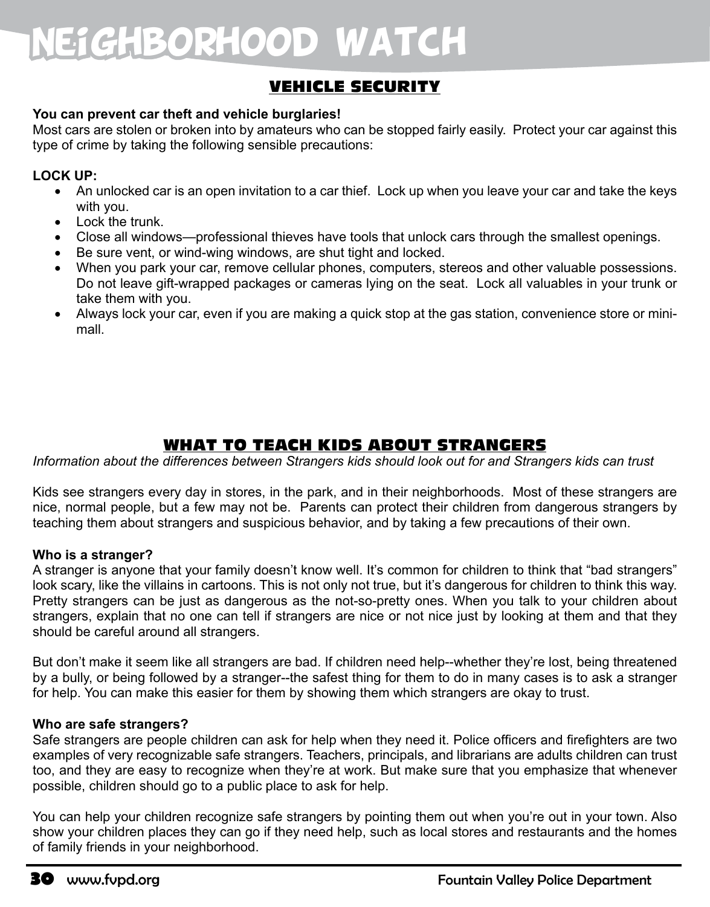# Neighborhood Watch

### VEHICLE SECURITY

#### **You can prevent car theft and vehicle burglaries!**

Most cars are stolen or broken into by amateurs who can be stopped fairly easily. Protect your car against this type of crime by taking the following sensible precautions:

#### **LOCK UP:**

- An unlocked car is an open invitation to a car thief. Lock up when you leave your car and take the keys with you.
- Lock the trunk.
- Close all windows—professional thieves have tools that unlock cars through the smallest openings.
- Be sure vent, or wind-wing windows, are shut tight and locked.
- When you park your car, remove cellular phones, computers, stereos and other valuable possessions. Do not leave gift-wrapped packages or cameras lying on the seat. Lock all valuables in your trunk or take them with you.
- Always lock your car, even if you are making a quick stop at the gas station, convenience store or minimall.

### WHAT TO TEACH KIDS ABOUT STRANGERS

*Information about the differences between Strangers kids should look out for and Strangers kids can trust*

Kids see strangers every day in stores, in the park, and in their neighborhoods. Most of these strangers are nice, normal people, but a few may not be. Parents can protect their children from dangerous strangers by teaching them about strangers and suspicious behavior, and by taking a few precautions of their own.

#### **Who is a stranger?**

A stranger is anyone that your family doesn't know well. It's common for children to think that "bad strangers" look scary, like the villains in cartoons. This is not only not true, but it's dangerous for children to think this way. Pretty strangers can be just as dangerous as the not-so-pretty ones. When you talk to your children about strangers, explain that no one can tell if strangers are nice or not nice just by looking at them and that they should be careful around all strangers.

But don't make it seem like all strangers are bad. If children need help--whether they're lost, being threatened by a bully, or being followed by a stranger--the safest thing for them to do in many cases is to ask a stranger for help. You can make this easier for them by showing them which strangers are okay to trust.

#### **Who are safe strangers?**

Safe strangers are people children can ask for help when they need it. Police officers and firefighters are two examples of very recognizable safe strangers. Teachers, principals, and librarians are adults children can trust too, and they are easy to recognize when they're at work. But make sure that you emphasize that whenever possible, children should go to a public place to ask for help.

You can help your children recognize safe strangers by pointing them out when you're out in your town. Also show your children places they can go if they need help, such as local stores and restaurants and the homes of family friends in your neighborhood.